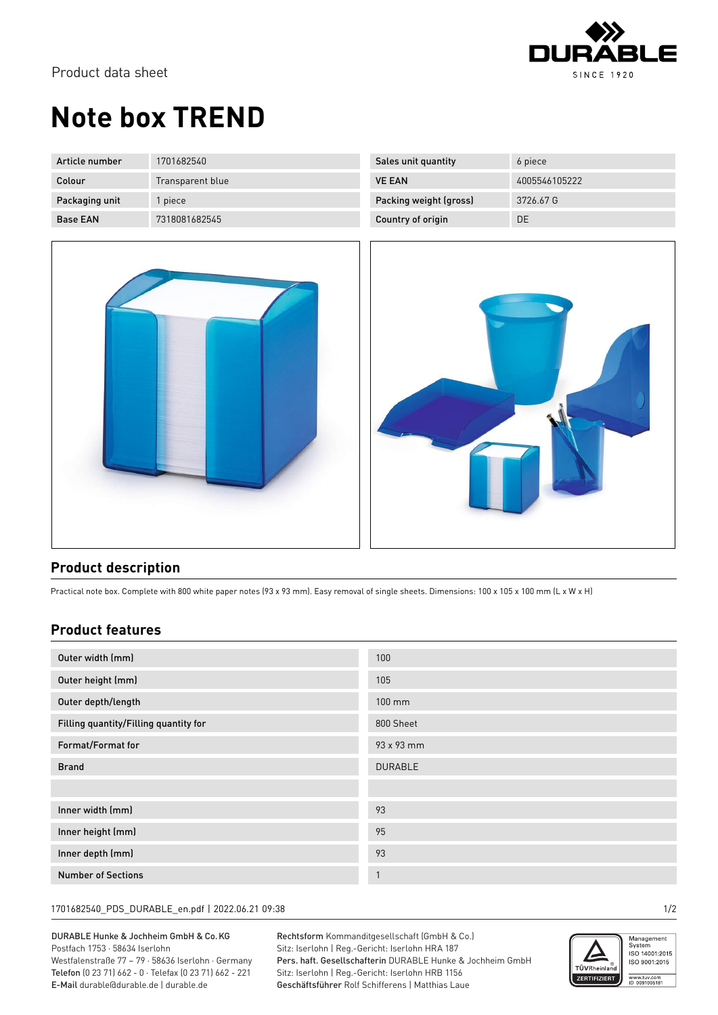

## **Note box TREND**

| Article number  | 1701682540       | Sales unit quantity    | 6 piece       |
|-----------------|------------------|------------------------|---------------|
| Colour          | Transparent blue | <b>VE EAN</b>          | 4005546105222 |
| Packaging unit  | l piece          | Packing weight (gross) | 3726.67 G     |
| <b>Base EAN</b> | 7318081682545    | Country of origin      | DE            |



| Country of origin | DE |
|-------------------|----|
|                   |    |

## **Product description**

Practical note box. Complete with 800 white paper notes (93 x 93 mm). Easy removal of single sheets. Dimensions: 100 x 105 x 100 mm (L x W x H)

## **Product features**

| Outer width (mm)                      | 100            |
|---------------------------------------|----------------|
| Outer height (mm)                     | 105            |
| Outer depth/length                    | $100$ mm       |
| Filling quantity/Filling quantity for | 800 Sheet      |
| Format/Format for                     | 93 x 93 mm     |
| <b>Brand</b>                          | <b>DURABLE</b> |
|                                       |                |
| Inner width (mm)                      | 93             |
| Inner height (mm)                     | 95             |
| Inner depth (mm)                      | 93             |
| <b>Number of Sections</b>             | $\overline{1}$ |

1701682540\_PDS\_DURABLE\_en.pdf | 2022.06.21 09:38 1/2

DURABLE Hunke & Jochheim GmbH & Co.KG Postfach 1753 · 58634 Iserlohn Westfalenstraße 77 – 79 · 58636 Iserlohn · Germany Telefon (0 23 71) 662 - 0 · Telefax (0 23 71) 662 - 221 E-Mail durable@durable.de | durable.de

Rechtsform Kommanditgesellschaft (GmbH & Co.) Sitz: Iserlohn | Reg.-Gericht: Iserlohn HRA 187 Pers. haft. Gesellschafterin DURABLE Hunke & Jochheim GmbH Sitz: Iserlohn | Reg.-Gericht: Iserlohn HRB 1156 Geschäftsführer Rolf Schifferens | Matthias Laue